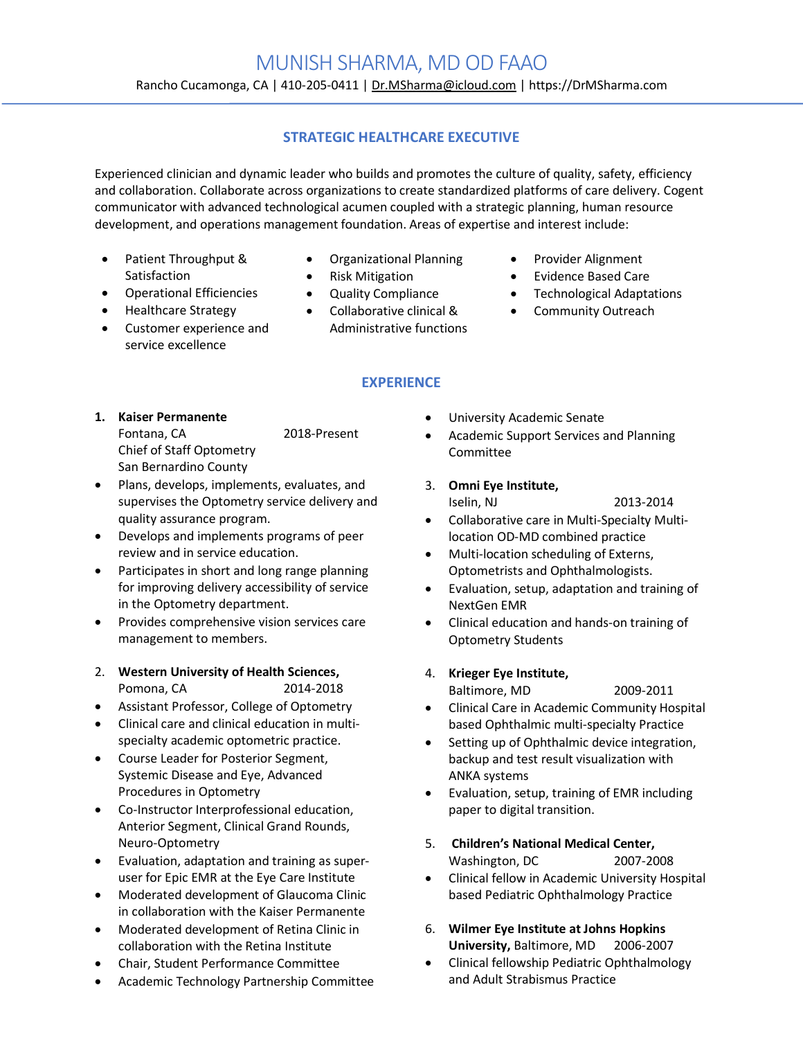# MUNISH SHARMA, MD OD FAAO

Rancho Cucamonga, CA | 410-205-0411 | Dr.MSharma@icloud.com | https://DrMSharma.com

# **STRATEGIC HEALTHCARE EXECUTIVE**

Experienced clinician and dynamic leader who builds and promotes the culture of quality, safety, efficiency and collaboration. Collaborate across organizations to create standardized platforms of care delivery. Cogent communicator with advanced technological acumen coupled with a strategic planning, human resource development, and operations management foundation. Areas of expertise and interest include:

- Patient Throughput & **Satisfaction**
- Operational Efficiencies
- Healthcare Strategy
- Customer experience and service excellence
- Organizational Planning
- Risk Mitigation
- Quality Compliance
- Collaborative clinical & Administrative functions
- Provider Alignment
- Evidence Based Care
- Technological Adaptations
- Community Outreach

# **EXPERIENCE**

- **1. Kaiser Permanente** Fontana, CA 2018-Present Chief of Staff Optometry San Bernardino County
- Plans, develops, implements, evaluates, and supervises the Optometry service delivery and quality assurance program.
- Develops and implements programs of peer review and in service education.
- Participates in short and long range planning for improving delivery accessibility of service in the Optometry department.
- Provides comprehensive vision services care management to members.
- 2. **Western University of Health Sciences,**  Pomona, CA 2014-2018
- Assistant Professor, College of Optometry
- Clinical care and clinical education in multispecialty academic optometric practice.
- Course Leader for Posterior Segment, Systemic Disease and Eye, Advanced Procedures in Optometry
- Co-Instructor Interprofessional education, Anterior Segment, Clinical Grand Rounds, Neuro-Optometry
- Evaluation, adaptation and training as superuser for Epic EMR at the Eye Care Institute
- Moderated development of Glaucoma Clinic in collaboration with the Kaiser Permanente
- Moderated development of Retina Clinic in collaboration with the Retina Institute
- Chair, Student Performance Committee
- Academic Technology Partnership Committee
- University Academic Senate
- Academic Support Services and Planning Committee
- 3. **Omni Eye Institute,** Iselin, NJ 2013-2014
- Collaborative care in Multi-Specialty Multilocation OD-MD combined practice
- Multi-location scheduling of Externs, Optometrists and Ophthalmologists.
- Evaluation, setup, adaptation and training of NextGen EMR
- Clinical education and hands-on training of Optometry Students
- 4. **Krieger Eye Institute,**
	- Baltimore, MD 2009-2011
- Clinical Care in Academic Community Hospital based Ophthalmic multi-specialty Practice
- Setting up of Ophthalmic device integration, backup and test result visualization with ANKA systems
- Evaluation, setup, training of EMR including paper to digital transition.
- 5. **Children's National Medical Center,**  Washington, DC 2007-2008
- Clinical fellow in Academic University Hospital based Pediatric Ophthalmology Practice
- 6. **Wilmer Eye Institute at Johns Hopkins University,** Baltimore, MD 2006-2007
- Clinical fellowship Pediatric Ophthalmology and Adult Strabismus Practice